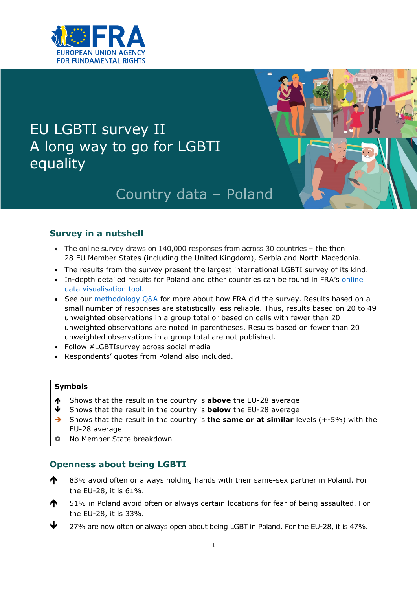

# EU LGBTI survey II A long way to go for LGBTI equality



# Country data - Poland

## **Survey in a nutshell**

- The online survey draws on 140,000 responses from across 30 countries the then 28 EU Member States (including the United Kingdom), Serbia and North Macedonia.
- The results from the survey present the largest international LGBTI survey of its kind.
- In-depth detailed results for Poland and other countries can be found in FRA's [online](https://fra.europa.eu/en/data-and-maps/2020/lgbti-survey-data-explorer)  [data visualisation tool.](https://fra.europa.eu/en/data-and-maps/2020/lgbti-survey-data-explorer)
- See our [methodology Q&A](https://fra.europa.eu/en/publication/2020/eu-lgbti-survey-results#TabPubMethodologyQ&A) for more about how FRA did the survey. Results based on a small number of responses are statistically less reliable. Thus, results based on 20 to 49 unweighted observations in a group total or based on cells with fewer than 20 unweighted observations are noted in parentheses. Results based on fewer than 20 unweighted observations in a group total are not published.
- Follow #LGBTIsurvey across social media
- Respondents' quotes from Poland also included.

#### **Symbols**

- Shows that the result in the country is **above** the EU-28 average
- Shows that the result in the country is **below** the EU-28 average
- → Shows that the result in the country is **the same or at similar** levels (+-5%) with the EU-28 average
- No Member State breakdown

### **Openness about being LGBTI**

- **1** 83% avoid often or always holding hands with their same-sex partner in Poland. For the EU-28, it is 61%.
- **10.4** 51% in Poland avoid often or always certain locations for fear of being assaulted. For the EU-28, it is 33%.
- 27% are now often or always open about being LGBT in Poland. For the EU-28, it is 47%.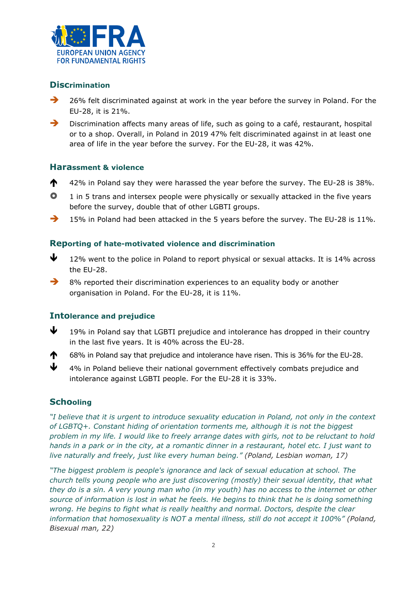

### **Discrimination**

- 26% felt discriminated against at work in the year before the survey in Poland. For the EU-28, it is 21%.
- Discrimination affects many areas of life, such as going to a café, restaurant, hospital or to a shop. Overall, in Poland in 2019 47% felt discriminated against in at least one area of life in the year before the survey. For the EU-28, it was 42%.

#### **Harassment & violence**

- $\bigwedge$  42% in Poland say they were harassed the year before the survey. The EU-28 is 38%.
- $\bullet$  1 in 5 trans and intersex people were physically or sexually attacked in the five years before the survey, double that of other LGBTI groups.
- $\rightarrow$  15% in Poland had been attacked in the 5 years before the survey. The EU-28 is 11%.

#### **Reporting of hate-motivated violence and discrimination**

- $\bigvee$  12% went to the police in Poland to report physical or sexual attacks. It is 14% across the EU-28.
- 8% reported their discrimination experiences to an equality body or another organisation in Poland. For the EU-28, it is 11%.

### **Intolerance and prejudice**

- $\bigvee$  19% in Poland say that LGBTI prejudice and intolerance has dropped in their country in the last five years. It is 40% across the EU-28.
- 68% in Poland say that prejudice and intolerance have risen. This is 36% for the EU-28.
- $\bigvee$  4% in Poland believe their national government effectively combats prejudice and intolerance against LGBTI people. For the EU-28 it is 33%.

### **Schooling**

*"I believe that it is urgent to introduce sexuality education in Poland, not only in the context of LGBTQ+. Constant hiding of orientation torments me, although it is not the biggest problem in my life. I would like to freely arrange dates with girls, not to be reluctant to hold hands in a park or in the city, at a romantic dinner in a restaurant, hotel etc. I just want to live naturally and freely, just like every human being." (Poland, Lesbian woman, 17)*

*"The biggest problem is people's ignorance and lack of sexual education at school. The church tells young people who are just discovering (mostly) their sexual identity, that what they do is a sin. A very young man who (in my youth) has no access to the internet or other source of information is lost in what he feels. He begins to think that he is doing something wrong. He begins to fight what is really healthy and normal. Doctors, despite the clear information that homosexuality is NOT a mental illness, still do not accept it 100%" (Poland, Bisexual man, 22)*